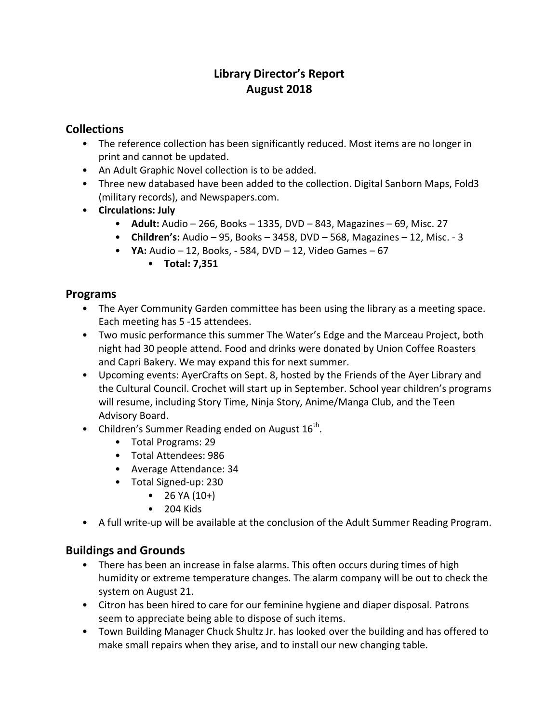# **Library Director's Report August 2018**

# **Collections**

- The reference collection has been significantly reduced. Most items are no longer in print and cannot be updated.
- An Adult Graphic Novel collection is to be added.
- Three new databased have been added to the collection. Digital Sanborn Maps, Fold3 (military records), and Newspapers.com.
- **Circulations: July**
	- **Adult:** Audio 266, Books 1335, DVD 843, Magazines 69, Misc. 27
	- **Children's:** Audio 95, Books 3458, DVD 568, Magazines 12, Misc. 3
	- **YA:** Audio 12, Books, 584, DVD 12, Video Games 67
		- **Total: 7,351**

### **Programs**

- The Ayer Community Garden committee has been using the library as a meeting space. Each meeting has 5 -15 attendees.
- Two music performance this summer The Water's Edge and the Marceau Project, both night had 30 people attend. Food and drinks were donated by Union Coffee Roasters and Capri Bakery. We may expand this for next summer.
- Upcoming events: AyerCrafts on Sept. 8, hosted by the Friends of the Ayer Library and the Cultural Council. Crochet will start up in September. School year children's programs will resume, including Story Time, Ninja Story, Anime/Manga Club, and the Teen Advisory Board.
- Children's Summer Reading ended on August  $16^{th}$ .
	- Total Programs: 29
	- Total Attendees: 986
	- Average Attendance: 34
	- Total Signed-up: 230
		- $26$  YA  $(10+)$
		- 204 Kids
- A full write-up will be available at the conclusion of the Adult Summer Reading Program.

### **Buildings and Grounds**

- There has been an increase in false alarms. This often occurs during times of high humidity or extreme temperature changes. The alarm company will be out to check the system on August 21.
- Citron has been hired to care for our feminine hygiene and diaper disposal. Patrons seem to appreciate being able to dispose of such items.
- Town Building Manager Chuck Shultz Jr. has looked over the building and has offered to make small repairs when they arise, and to install our new changing table.